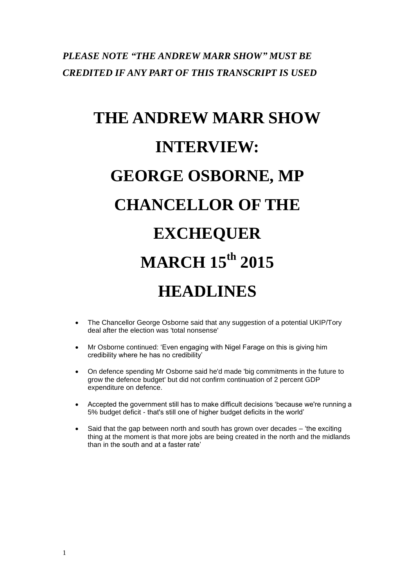# *PLEASE NOTE "THE ANDREW MARR SHOW" MUST BE CREDITED IF ANY PART OF THIS TRANSCRIPT IS USED*

# **THE ANDREW MARR SHOW INTERVIEW: GEORGE OSBORNE, MP CHANCELLOR OF THE EXCHEQUER MARCH 15th 2015 HEADLINES**

- The Chancellor George Osborne said that any suggestion of a potential UKIP/Tory deal after the election was 'total nonsense'
- Mr Osborne continued: 'Even engaging with Nigel Farage on this is giving him credibility where he has no credibility'
- On defence spending Mr Osborne said he'd made 'big commitments in the future to grow the defence budget' but did not confirm continuation of 2 percent GDP expenditure on defence.
- Accepted the government still has to make difficult decisions 'because we're running a 5% budget deficit - that's still one of higher budget deficits in the world'
- Said that the gap between north and south has grown over decades 'the exciting thing at the moment is that more jobs are being created in the north and the midlands than in the south and at a faster rate'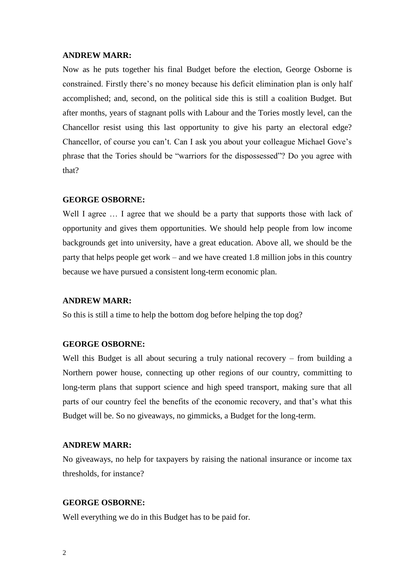Now as he puts together his final Budget before the election, George Osborne is constrained. Firstly there's no money because his deficit elimination plan is only half accomplished; and, second, on the political side this is still a coalition Budget. But after months, years of stagnant polls with Labour and the Tories mostly level, can the Chancellor resist using this last opportunity to give his party an electoral edge? Chancellor, of course you can't. Can I ask you about your colleague Michael Gove's phrase that the Tories should be "warriors for the dispossessed"? Do you agree with that?

#### **GEORGE OSBORNE:**

Well I agree  $\ldots$  I agree that we should be a party that supports those with lack of opportunity and gives them opportunities. We should help people from low income backgrounds get into university, have a great education. Above all, we should be the party that helps people get work – and we have created 1.8 million jobs in this country because we have pursued a consistent long-term economic plan.

#### **ANDREW MARR:**

So this is still a time to help the bottom dog before helping the top dog?

# **GEORGE OSBORNE:**

Well this Budget is all about securing a truly national recovery – from building a Northern power house, connecting up other regions of our country, committing to long-term plans that support science and high speed transport, making sure that all parts of our country feel the benefits of the economic recovery, and that's what this Budget will be. So no giveaways, no gimmicks, a Budget for the long-term.

#### **ANDREW MARR:**

No giveaways, no help for taxpayers by raising the national insurance or income tax thresholds, for instance?

#### **GEORGE OSBORNE:**

Well everything we do in this Budget has to be paid for.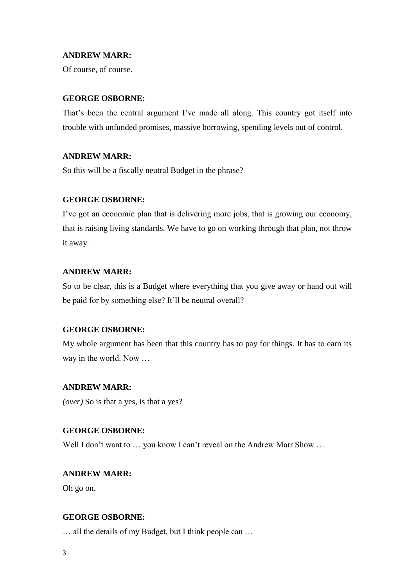Of course, of course.

# **GEORGE OSBORNE:**

That's been the central argument I've made all along. This country got itself into trouble with unfunded promises, massive borrowing, spending levels out of control.

# **ANDREW MARR:**

So this will be a fiscally neutral Budget in the phrase?

#### **GEORGE OSBORNE:**

I've got an economic plan that is delivering more jobs, that is growing our economy, that is raising living standards. We have to go on working through that plan, not throw it away.

# **ANDREW MARR:**

So to be clear, this is a Budget where everything that you give away or hand out will be paid for by something else? It'll be neutral overall?

#### **GEORGE OSBORNE:**

My whole argument has been that this country has to pay for things. It has to earn its way in the world. Now …

#### **ANDREW MARR:**

*(over)* So is that a yes, is that a yes?

# **GEORGE OSBORNE:**

Well I don't want to ... you know I can't reveal on the Andrew Marr Show ...

# **ANDREW MARR:**

Oh go on.

# **GEORGE OSBORNE:**

… all the details of my Budget, but I think people can …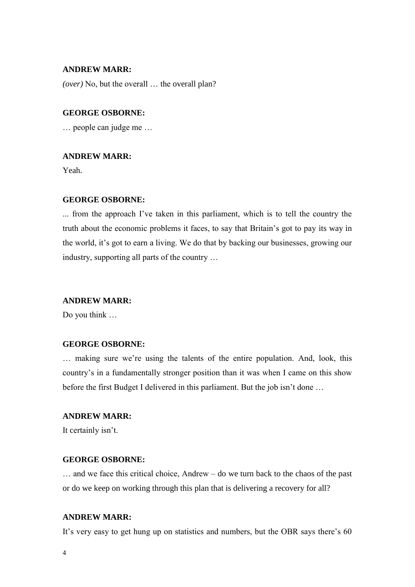*(over)* No, but the overall … the overall plan?

# **GEORGE OSBORNE:**

… people can judge me …

#### **ANDREW MARR:**

Yeah.

#### **GEORGE OSBORNE:**

... from the approach I've taken in this parliament, which is to tell the country the truth about the economic problems it faces, to say that Britain's got to pay its way in the world, it's got to earn a living. We do that by backing our businesses, growing our industry, supporting all parts of the country …

# **ANDREW MARR:**

Do you think …

# **GEORGE OSBORNE:**

… making sure we're using the talents of the entire population. And, look, this country's in a fundamentally stronger position than it was when I came on this show before the first Budget I delivered in this parliament. But the job isn't done …

# **ANDREW MARR:**

It certainly isn't.

# **GEORGE OSBORNE:**

… and we face this critical choice, Andrew – do we turn back to the chaos of the past or do we keep on working through this plan that is delivering a recovery for all?

#### **ANDREW MARR:**

It's very easy to get hung up on statistics and numbers, but the OBR says there's 60

4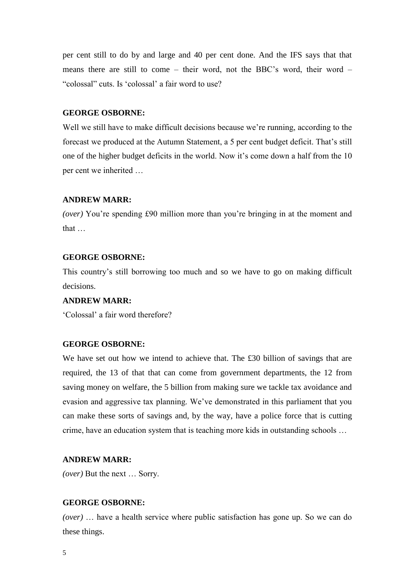per cent still to do by and large and 40 per cent done. And the IFS says that that means there are still to come – their word, not the BBC's word, their word – "colossal" cuts. Is 'colossal' a fair word to use?

# **GEORGE OSBORNE:**

Well we still have to make difficult decisions because we're running, according to the forecast we produced at the Autumn Statement, a 5 per cent budget deficit. That's still one of the higher budget deficits in the world. Now it's come down a half from the 10 per cent we inherited …

#### **ANDREW MARR:**

*(over)* You're spending £90 million more than you're bringing in at the moment and that …

# **GEORGE OSBORNE:**

This country's still borrowing too much and so we have to go on making difficult decisions.

#### **ANDREW MARR:**

'Colossal' a fair word therefore?

# **GEORGE OSBORNE:**

We have set out how we intend to achieve that. The £30 billion of savings that are required, the 13 of that that can come from government departments, the 12 from saving money on welfare, the 5 billion from making sure we tackle tax avoidance and evasion and aggressive tax planning. We've demonstrated in this parliament that you can make these sorts of savings and, by the way, have a police force that is cutting crime, have an education system that is teaching more kids in outstanding schools …

#### **ANDREW MARR:**

*(over)* But the next … Sorry.

# **GEORGE OSBORNE:**

*(over)* … have a health service where public satisfaction has gone up. So we can do these things.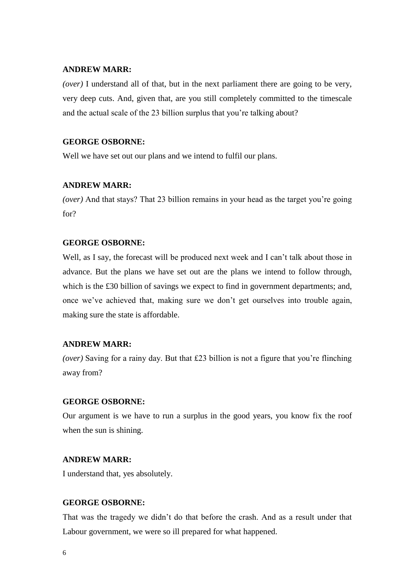*(over)* I understand all of that, but in the next parliament there are going to be very, very deep cuts. And, given that, are you still completely committed to the timescale and the actual scale of the 23 billion surplus that you're talking about?

# **GEORGE OSBORNE:**

Well we have set out our plans and we intend to fulfil our plans.

#### **ANDREW MARR:**

*(over)* And that stays? That 23 billion remains in your head as the target you're going for?

# **GEORGE OSBORNE:**

Well, as I say, the forecast will be produced next week and I can't talk about those in advance. But the plans we have set out are the plans we intend to follow through, which is the £30 billion of savings we expect to find in government departments; and, once we've achieved that, making sure we don't get ourselves into trouble again, making sure the state is affordable.

# **ANDREW MARR:**

*(over)* Saving for a rainy day. But that £23 billion is not a figure that you're flinching away from?

# **GEORGE OSBORNE:**

Our argument is we have to run a surplus in the good years, you know fix the roof when the sun is shining.

# **ANDREW MARR:**

I understand that, yes absolutely.

# **GEORGE OSBORNE:**

That was the tragedy we didn't do that before the crash. And as a result under that Labour government, we were so ill prepared for what happened.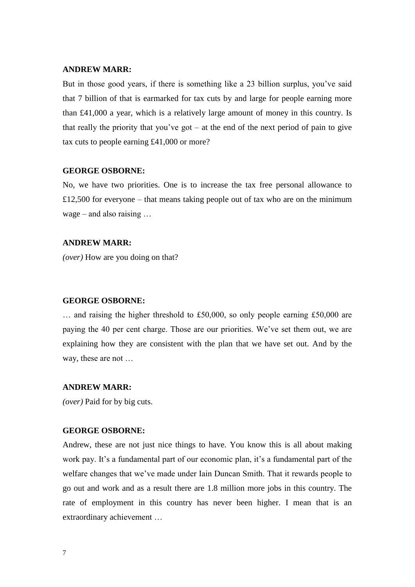But in those good years, if there is something like a 23 billion surplus, you've said that 7 billion of that is earmarked for tax cuts by and large for people earning more than £41,000 a year, which is a relatively large amount of money in this country. Is that really the priority that you've got  $-$  at the end of the next period of pain to give tax cuts to people earning £41,000 or more?

#### **GEORGE OSBORNE:**

No, we have two priorities. One is to increase the tax free personal allowance to  $£12,500$  for everyone – that means taking people out of tax who are on the minimum wage – and also raising …

#### **ANDREW MARR:**

*(over)* How are you doing on that?

#### **GEORGE OSBORNE:**

… and raising the higher threshold to £50,000, so only people earning £50,000 are paying the 40 per cent charge. Those are our priorities. We've set them out, we are explaining how they are consistent with the plan that we have set out. And by the way, these are not …

# **ANDREW MARR:**

*(over)* Paid for by big cuts.

# **GEORGE OSBORNE:**

Andrew, these are not just nice things to have. You know this is all about making work pay. It's a fundamental part of our economic plan, it's a fundamental part of the welfare changes that we've made under Iain Duncan Smith. That it rewards people to go out and work and as a result there are 1.8 million more jobs in this country. The rate of employment in this country has never been higher. I mean that is an extraordinary achievement …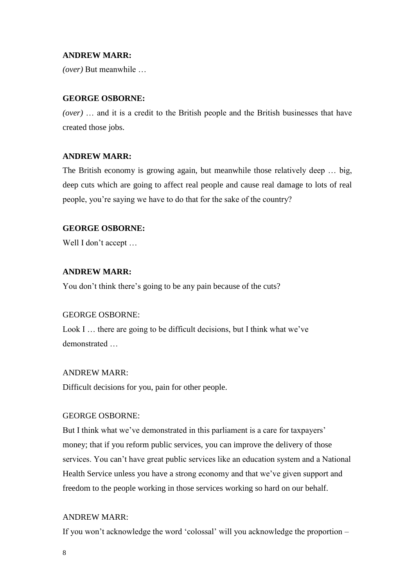*(over)* But meanwhile …

# **GEORGE OSBORNE:**

*(over)* … and it is a credit to the British people and the British businesses that have created those jobs.

# **ANDREW MARR:**

The British economy is growing again, but meanwhile those relatively deep … big, deep cuts which are going to affect real people and cause real damage to lots of real people, you're saying we have to do that for the sake of the country?

# **GEORGE OSBORNE:**

Well I don't accept ...

# **ANDREW MARR:**

You don't think there's going to be any pain because of the cuts?

#### GEORGE OSBORNE:

Look I ... there are going to be difficult decisions, but I think what we've demonstrated …

#### ANDREW MARR:

Difficult decisions for you, pain for other people.

# GEORGE OSBORNE:

But I think what we've demonstrated in this parliament is a care for taxpayers' money; that if you reform public services, you can improve the delivery of those services. You can't have great public services like an education system and a National Health Service unless you have a strong economy and that we've given support and freedom to the people working in those services working so hard on our behalf.

#### ANDREW MARR:

If you won't acknowledge the word 'colossal' will you acknowledge the proportion –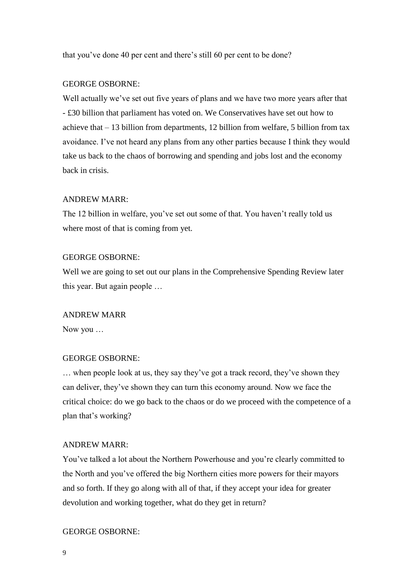that you've done 40 per cent and there's still 60 per cent to be done?

# GEORGE OSBORNE:

Well actually we've set out five years of plans and we have two more years after that - £30 billion that parliament has voted on. We Conservatives have set out how to achieve that – 13 billion from departments, 12 billion from welfare, 5 billion from tax avoidance. I've not heard any plans from any other parties because I think they would take us back to the chaos of borrowing and spending and jobs lost and the economy back in crisis.

#### ANDREW MARR:

The 12 billion in welfare, you've set out some of that. You haven't really told us where most of that is coming from yet.

# GEORGE OSBORNE:

Well we are going to set out our plans in the Comprehensive Spending Review later this year. But again people …

#### ANDREW MARR

Now you …

# GEORGE OSBORNE:

… when people look at us, they say they've got a track record, they've shown they can deliver, they've shown they can turn this economy around. Now we face the critical choice: do we go back to the chaos or do we proceed with the competence of a plan that's working?

#### ANDREW MARR:

You've talked a lot about the Northern Powerhouse and you're clearly committed to the North and you've offered the big Northern cities more powers for their mayors and so forth. If they go along with all of that, if they accept your idea for greater devolution and working together, what do they get in return?

#### GEORGE OSBORNE: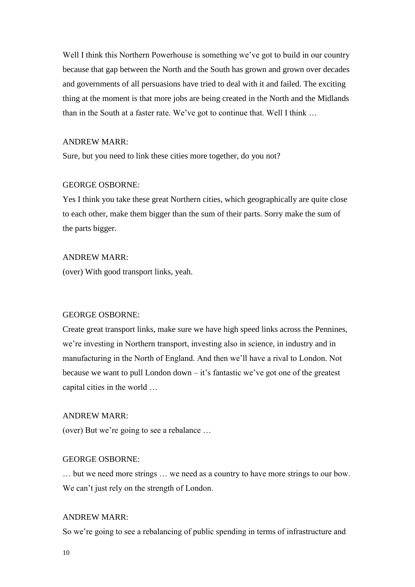Well I think this Northern Powerhouse is something we've got to build in our country because that gap between the North and the South has grown and grown over decades and governments of all persuasions have tried to deal with it and failed. The exciting thing at the moment is that more jobs are being created in the North and the Midlands than in the South at a faster rate. We've got to continue that. Well I think …

# ANDREW MARR:

Sure, but you need to link these cities more together, do you not?

#### GEORGE OSBORNE:

Yes I think you take these great Northern cities, which geographically are quite close to each other, make them bigger than the sum of their parts. Sorry make the sum of the parts bigger.

# ANDREW MARR:

(over) With good transport links, yeah.

#### GEORGE OSBORNE:

Create great transport links, make sure we have high speed links across the Pennines, we're investing in Northern transport, investing also in science, in industry and in manufacturing in the North of England. And then we'll have a rival to London. Not because we want to pull London down – it's fantastic we've got one of the greatest capital cities in the world …

# ANDREW MARR:

(over) But we're going to see a rebalance …

#### GEORGE OSBORNE:

… but we need more strings … we need as a country to have more strings to our bow. We can't just rely on the strength of London.

#### ANDREW MARR:

So we're going to see a rebalancing of public spending in terms of infrastructure and

10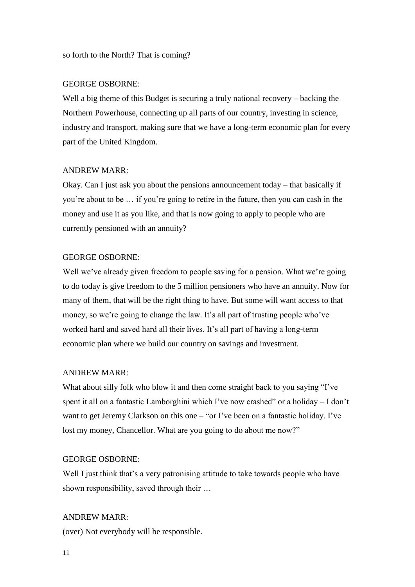so forth to the North? That is coming?

# GEORGE OSBORNE:

Well a big theme of this Budget is securing a truly national recovery – backing the Northern Powerhouse, connecting up all parts of our country, investing in science, industry and transport, making sure that we have a long-term economic plan for every part of the United Kingdom.

# ANDREW MARR:

Okay. Can I just ask you about the pensions announcement today – that basically if you're about to be … if you're going to retire in the future, then you can cash in the money and use it as you like, and that is now going to apply to people who are currently pensioned with an annuity?

# GEORGE OSBORNE:

Well we've already given freedom to people saving for a pension. What we're going to do today is give freedom to the 5 million pensioners who have an annuity. Now for many of them, that will be the right thing to have. But some will want access to that money, so we're going to change the law. It's all part of trusting people who've worked hard and saved hard all their lives. It's all part of having a long-term economic plan where we build our country on savings and investment.

# ANDREW MARR:

What about silly folk who blow it and then come straight back to you saying "I've spent it all on a fantastic Lamborghini which I've now crashed" or a holiday – I don't want to get Jeremy Clarkson on this one – "or I've been on a fantastic holiday. I've lost my money, Chancellor. What are you going to do about me now?"

# GEORGE OSBORNE:

Well I just think that's a very patronising attitude to take towards people who have shown responsibility, saved through their …

# ANDREW MARR:

(over) Not everybody will be responsible.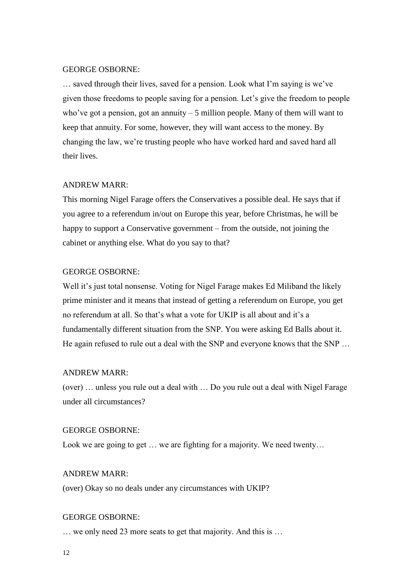# GEORGE OSBORNE:

… saved through their lives, saved for a pension. Look what I'm saying is we've given those freedoms to people saving for a pension. Let's give the freedom to people who've got a pension, got an annuity  $-5$  million people. Many of them will want to keep that annuity. For some, however, they will want access to the money. By changing the law, we're trusting people who have worked hard and saved hard all their lives.

# ANDREW MARR:

This morning Nigel Farage offers the Conservatives a possible deal. He says that if you agree to a referendum in/out on Europe this year, before Christmas, he will be happy to support a Conservative government – from the outside, not joining the cabinet or anything else. What do you say to that?

#### GEORGE OSBORNE:

Well it's just total nonsense. Voting for Nigel Farage makes Ed Miliband the likely prime minister and it means that instead of getting a referendum on Europe, you get no referendum at all. So that's what a vote for UKIP is all about and it's a fundamentally different situation from the SNP. You were asking Ed Balls about it. He again refused to rule out a deal with the SNP and everyone knows that the SNP …

#### ANDREW MARR:

(over) … unless you rule out a deal with … Do you rule out a deal with Nigel Farage under all circumstances?

# GEORGE OSBORNE:

Look we are going to get ... we are fighting for a majority. We need twenty...

#### ANDREW MARR:

(over) Okay so no deals under any circumstances with UKIP?

#### GEORGE OSBORNE:

… we only need 23 more seats to get that majority. And this is …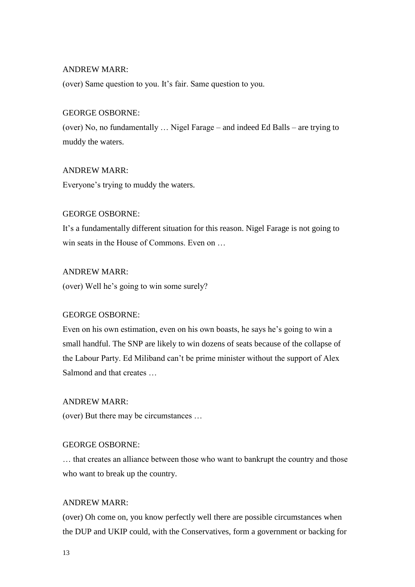(over) Same question to you. It's fair. Same question to you.

# GEORGE OSBORNE:

(over) No, no fundamentally … Nigel Farage – and indeed Ed Balls – are trying to muddy the waters.

# ANDREW MARR:

Everyone's trying to muddy the waters.

# GEORGE OSBORNE:

It's a fundamentally different situation for this reason. Nigel Farage is not going to win seats in the House of Commons. Even on …

# ANDREW MARR:

(over) Well he's going to win some surely?

# GEORGE OSBORNE:

Even on his own estimation, even on his own boasts, he says he's going to win a small handful. The SNP are likely to win dozens of seats because of the collapse of the Labour Party. Ed Miliband can't be prime minister without the support of Alex Salmond and that creates …

# ANDREW MARR:

(over) But there may be circumstances …

# GEORGE OSBORNE:

… that creates an alliance between those who want to bankrupt the country and those who want to break up the country.

# ANDREW MARR:

(over) Oh come on, you know perfectly well there are possible circumstances when the DUP and UKIP could, with the Conservatives, form a government or backing for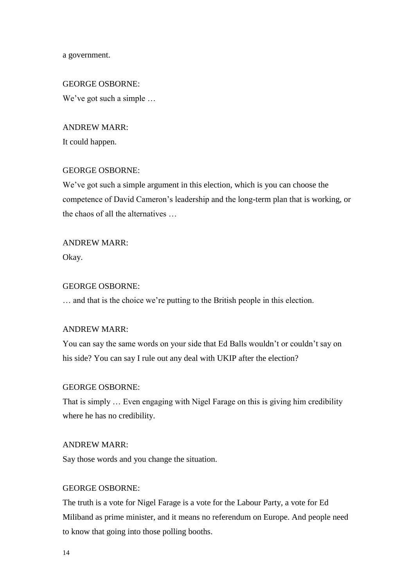a government.

GEORGE OSBORNE: We've got such a simple …

ANDREW MARR: It could happen.

# GEORGE OSBORNE:

We've got such a simple argument in this election, which is you can choose the competence of David Cameron's leadership and the long-term plan that is working, or the chaos of all the alternatives …

ANDREW MARR: Okay.

# GEORGE OSBORNE:

… and that is the choice we're putting to the British people in this election.

#### ANDREW MARR:

You can say the same words on your side that Ed Balls wouldn't or couldn't say on his side? You can say I rule out any deal with UKIP after the election?

#### GEORGE OSBORNE:

That is simply … Even engaging with Nigel Farage on this is giving him credibility where he has no credibility.

#### ANDREW MARR:

Say those words and you change the situation.

# GEORGE OSBORNE:

The truth is a vote for Nigel Farage is a vote for the Labour Party, a vote for Ed Miliband as prime minister, and it means no referendum on Europe. And people need to know that going into those polling booths.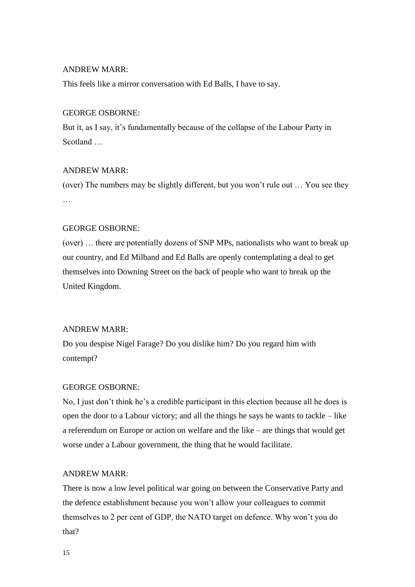This feels like a mirror conversation with Ed Balls, I have to say.

#### GEORGE OSBORNE:

But it, as I say, it's fundamentally because of the collapse of the Labour Party in Scotland …

# ANDREW MARR:

(over) The numbers may be slightly different, but you won't rule out … You see they …

#### GEORGE OSBORNE:

(over) … there are potentially dozens of SNP MPs, nationalists who want to break up our country, and Ed Milband and Ed Balls are openly contemplating a deal to get themselves into Downing Street on the back of people who want to break up the United Kingdom.

#### ANDREW MARR:

Do you despise Nigel Farage? Do you dislike him? Do you regard him with contempt?

#### GEORGE OSBORNE:

No, I just don't think he's a credible participant in this election because all he does is open the door to a Labour victory; and all the things he says he wants to tackle – like a referendum on Europe or action on welfare and the like – are things that would get worse under a Labour government, the thing that he would facilitate.

#### ANDREW MARR:

There is now a low level political war going on between the Conservative Party and the defence establishment because you won't allow your colleagues to commit themselves to 2 per cent of GDP, the NATO target on defence. Why won't you do that?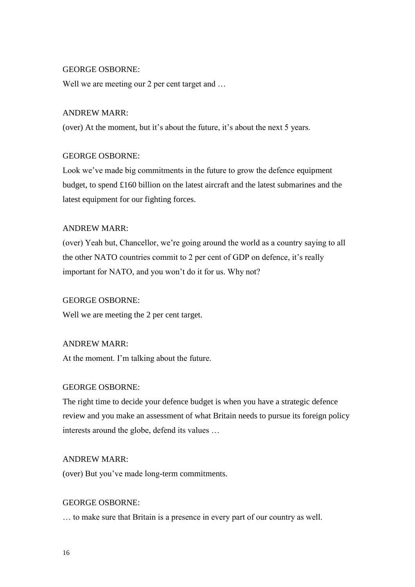#### GEORGE OSBORNE:

Well we are meeting our 2 per cent target and ...

#### ANDREW MARR:

(over) At the moment, but it's about the future, it's about the next 5 years.

#### GEORGE OSBORNE:

Look we've made big commitments in the future to grow the defence equipment budget, to spend £160 billion on the latest aircraft and the latest submarines and the latest equipment for our fighting forces.

# ANDREW MARR:

(over) Yeah but, Chancellor, we're going around the world as a country saying to all the other NATO countries commit to 2 per cent of GDP on defence, it's really important for NATO, and you won't do it for us. Why not?

# GEORGE OSBORNE:

Well we are meeting the 2 per cent target.

# ANDREW MARR:

At the moment. I'm talking about the future.

#### GEORGE OSBORNE:

The right time to decide your defence budget is when you have a strategic defence review and you make an assessment of what Britain needs to pursue its foreign policy interests around the globe, defend its values …

#### ANDREW MARR:

(over) But you've made long-term commitments.

# GEORGE OSBORNE:

… to make sure that Britain is a presence in every part of our country as well.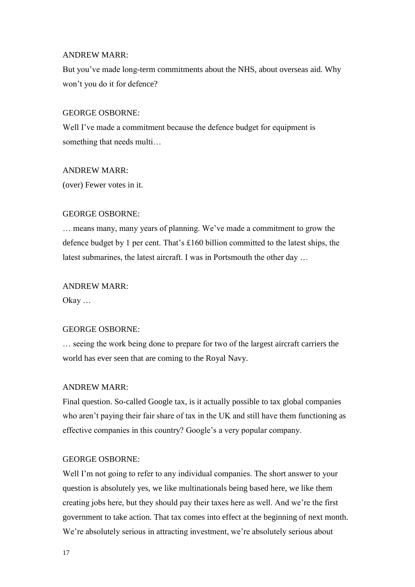But you've made long-term commitments about the NHS, about overseas aid. Why won't you do it for defence?

#### GEORGE OSBORNE:

Well I've made a commitment because the defence budget for equipment is something that needs multi…

#### ANDREW MARR:

(over) Fewer votes in it.

# GEORGE OSBORNE:

… means many, many years of planning. We've made a commitment to grow the defence budget by 1 per cent. That's £160 billion committed to the latest ships, the latest submarines, the latest aircraft. I was in Portsmouth the other day …

# ANDREW MARR:

Okay …

# GEORGE OSBORNE:

… seeing the work being done to prepare for two of the largest aircraft carriers the world has ever seen that are coming to the Royal Navy.

#### ANDREW MARR:

Final question. So-called Google tax, is it actually possible to tax global companies who aren't paying their fair share of tax in the UK and still have them functioning as effective companies in this country? Google's a very popular company.

# GEORGE OSBORNE:

Well I'm not going to refer to any individual companies. The short answer to your question is absolutely yes, we like multinationals being based here, we like them creating jobs here, but they should pay their taxes here as well. And we're the first government to take action. That tax comes into effect at the beginning of next month. We're absolutely serious in attracting investment, we're absolutely serious about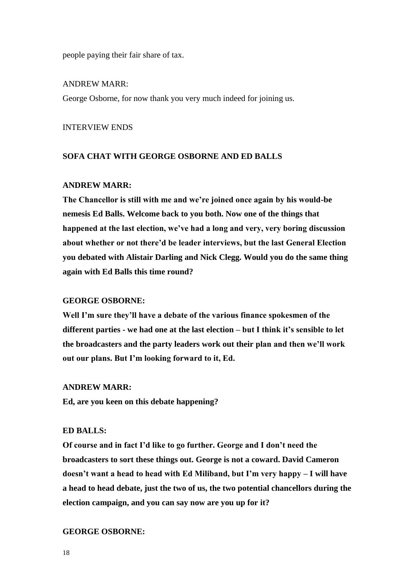people paying their fair share of tax.

ANDREW MARR: George Osborne, for now thank you very much indeed for joining us.

INTERVIEW ENDS

#### **SOFA CHAT WITH GEORGE OSBORNE AND ED BALLS**

#### **ANDREW MARR:**

**The Chancellor is still with me and we're joined once again by his would-be nemesis Ed Balls. Welcome back to you both. Now one of the things that happened at the last election, we've had a long and very, very boring discussion about whether or not there'd be leader interviews, but the last General Election you debated with Alistair Darling and Nick Clegg. Would you do the same thing again with Ed Balls this time round?**

#### **GEORGE OSBORNE:**

**Well I'm sure they'll have a debate of the various finance spokesmen of the different parties - we had one at the last election – but I think it's sensible to let the broadcasters and the party leaders work out their plan and then we'll work out our plans. But I'm looking forward to it, Ed.**

#### **ANDREW MARR:**

**Ed, are you keen on this debate happening?**

# **ED BALLS:**

**Of course and in fact I'd like to go further. George and I don't need the broadcasters to sort these things out. George is not a coward. David Cameron doesn't want a head to head with Ed Miliband, but I'm very happy – I will have a head to head debate, just the two of us, the two potential chancellors during the election campaign, and you can say now are you up for it?**

#### **GEORGE OSBORNE:**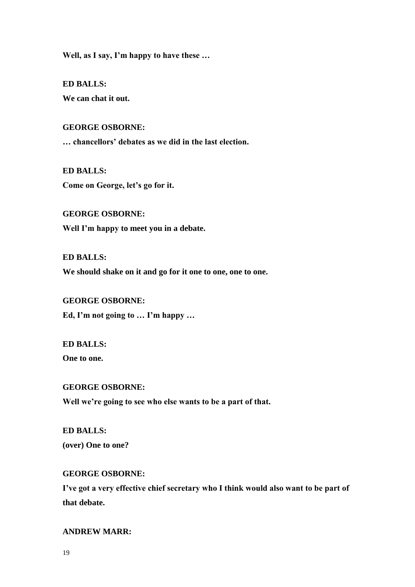**Well, as I say, I'm happy to have these …**

**ED BALLS: We can chat it out.**

**GEORGE OSBORNE:**

**… chancellors' debates as we did in the last election.**

**ED BALLS: Come on George, let's go for it.**

**GEORGE OSBORNE: Well I'm happy to meet you in a debate.**

**ED BALLS: We should shake on it and go for it one to one, one to one.**

**GEORGE OSBORNE: Ed, I'm not going to … I'm happy …**

**ED BALLS:**

**One to one.**

#### **GEORGE OSBORNE:**

**Well we're going to see who else wants to be a part of that.**

**ED BALLS: (over) One to one?**

# **GEORGE OSBORNE:**

**I've got a very effective chief secretary who I think would also want to be part of that debate.**

**ANDREW MARR:**